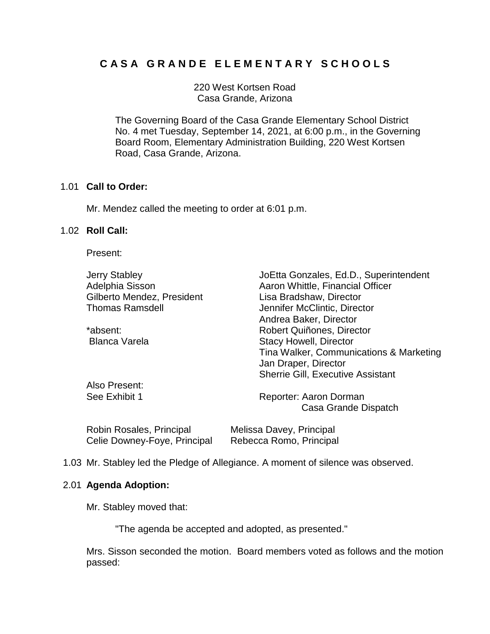# **C A S A G R A N D E E L E M E N T A R Y S C H O O L S**

220 West Kortsen Road Casa Grande, Arizona

The Governing Board of the Casa Grande Elementary School District No. 4 met Tuesday, September 14, 2021, at 6:00 p.m., in the Governing Board Room, Elementary Administration Building, 220 West Kortsen Road, Casa Grande, Arizona.

## 1.01 **Call to Order:**

Mr. Mendez called the meeting to order at 6:01 p.m.

## 1.02 **Roll Call:**

Present:

| <b>Jerry Stabley</b>        | JoEtta Gonzales, Ed.D., Superintendent   |
|-----------------------------|------------------------------------------|
| Adelphia Sisson             | Aaron Whittle, Financial Officer         |
| Gilberto Mendez, President  | Lisa Bradshaw, Director                  |
| <b>Thomas Ramsdell</b>      | Jennifer McClintic, Director             |
|                             | Andrea Baker, Director                   |
| *absent:                    | Robert Quiñones, Director                |
| <b>Blanca Varela</b>        | <b>Stacy Howell, Director</b>            |
|                             | Tina Walker, Communications & Marketing  |
|                             | Jan Draper, Director                     |
|                             | <b>Sherrie Gill, Executive Assistant</b> |
| Also Present:               |                                          |
| See Exhibit 1               | Reporter: Aaron Dorman                   |
|                             | Casa Grande Dispatch                     |
| Delste Deerstee, Date steel | المعانون والمستحدث والمستحدث والمالية    |

| Robin Rosales, Principal     | Melissa Davey, Principal |
|------------------------------|--------------------------|
| Celie Downey-Foye, Principal | Rebecca Romo, Principal  |

1.03 Mr. Stabley led the Pledge of Allegiance. A moment of silence was observed.

## 2.01 **Agenda Adoption:**

Mr. Stabley moved that:

"The agenda be accepted and adopted, as presented."

Mrs. Sisson seconded the motion. Board members voted as follows and the motion passed: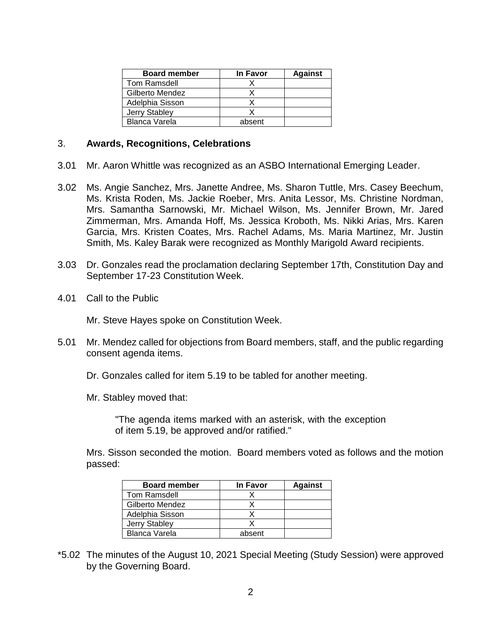| <b>Board member</b>  | <b>In Favor</b> | <b>Against</b> |
|----------------------|-----------------|----------------|
| Tom Ramsdell         |                 |                |
| Gilberto Mendez      |                 |                |
| Adelphia Sisson      |                 |                |
| Jerry Stabley        |                 |                |
| <b>Blanca Varela</b> | absent          |                |

## 3. **Awards, Recognitions, Celebrations**

- 3.01 Mr. Aaron Whittle was recognized as an ASBO International Emerging Leader.
- 3.02 Ms. Angie Sanchez, Mrs. Janette Andree, Ms. Sharon Tuttle, Mrs. Casey Beechum, Ms. Krista Roden, Ms. Jackie Roeber, Mrs. Anita Lessor, Ms. Christine Nordman, Mrs. Samantha Sarnowski, Mr. Michael Wilson, Ms. Jennifer Brown, Mr. Jared Zimmerman, Mrs. Amanda Hoff, Ms. Jessica Kroboth, Ms. Nikki Arias, Mrs. Karen Garcia, Mrs. Kristen Coates, Mrs. Rachel Adams, Ms. Maria Martinez, Mr. Justin Smith, Ms. Kaley Barak were recognized as Monthly Marigold Award recipients.
- 3.03 Dr. Gonzales read the proclamation declaring September 17th, Constitution Day and September 17-23 Constitution Week.
- 4.01 Call to the Public

Mr. Steve Hayes spoke on Constitution Week.

- 5.01 Mr. Mendez called for objections from Board members, staff, and the public regarding consent agenda items.
	- Dr. Gonzales called for item 5.19 to be tabled for another meeting.
	- Mr. Stabley moved that:

"The agenda items marked with an asterisk, with the exception of item 5.19, be approved and/or ratified."

Mrs. Sisson seconded the motion. Board members voted as follows and the motion passed:

| <b>Board member</b>  | In Favor | <b>Against</b> |
|----------------------|----------|----------------|
| Tom Ramsdell         |          |                |
| Gilberto Mendez      |          |                |
| Adelphia Sisson      |          |                |
| Jerry Stabley        |          |                |
| <b>Blanca Varela</b> | absent   |                |

\*5.02 The minutes of the August 10, 2021 Special Meeting (Study Session) were approved by the Governing Board.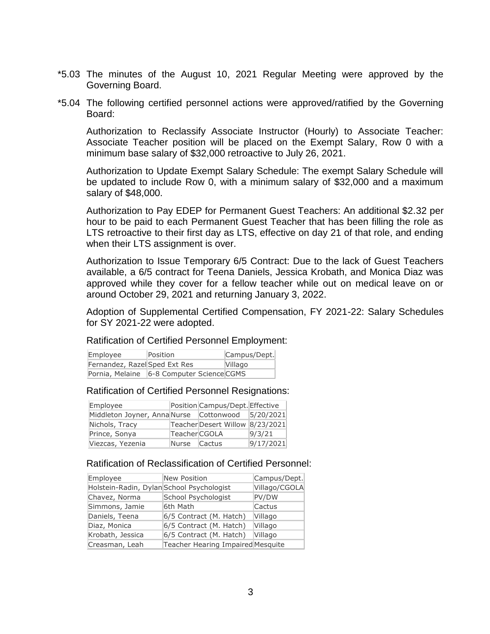- \*5.03 The minutes of the August 10, 2021 Regular Meeting were approved by the Governing Board.
- \*5.04 The following certified personnel actions were approved/ratified by the Governing Board:

Authorization to Reclassify Associate Instructor (Hourly) to Associate Teacher: Associate Teacher position will be placed on the Exempt Salary, Row 0 with a minimum base salary of \$32,000 retroactive to July 26, 2021.

Authorization to Update Exempt Salary Schedule: The exempt Salary Schedule will be updated to include Row 0, with a minimum salary of \$32,000 and a maximum salary of \$48,000.

Authorization to Pay EDEP for Permanent Guest Teachers: An additional \$2.32 per hour to be paid to each Permanent Guest Teacher that has been filling the role as LTS retroactive to their first day as LTS, effective on day 21 of that role, and ending when their LTS assignment is over.

Authorization to Issue Temporary 6/5 Contract: Due to the lack of Guest Teachers available, a 6/5 contract for Teena Daniels, Jessica Krobath, and Monica Diaz was approved while they cover for a fellow teacher while out on medical leave on or around October 29, 2021 and returning January 3, 2022.

Adoption of Supplemental Certified Compensation, FY 2021-22: Salary Schedules for SY 2021-22 were adopted.

Ratification of Certified Personnel Employment:

| Employee                      | Position                                  | Campus/Dept.   |
|-------------------------------|-------------------------------------------|----------------|
| Fernandez, Razel Sped Ext Res |                                           | <b>Villago</b> |
|                               | Pornia, Melaine 6-8 Computer Science CGMS |                |

## Ratification of Certified Personnel Resignations:

| Employee                                |               | Position Campus/Dept. Effective |           |
|-----------------------------------------|---------------|---------------------------------|-----------|
| Middleton Joyner, Anna Nurse Cottonwood |               |                                 | 5/20/2021 |
| Nichols, Tracy                          |               | Teacher Desert Willow           | 8/23/2021 |
| Prince, Sonya                           | Teacher CGOLA |                                 | 9/3/21    |
| Viezcas, Yezenia                        | Nurse Cactus  |                                 | 9/17/2021 |

# Ratification of Reclassification of Certified Personnel:

| Employee                                  | <b>New Position</b>               | Campus/Dept.  |
|-------------------------------------------|-----------------------------------|---------------|
| Holstein-Radin, Dylan School Psychologist |                                   | Villago/CGOLA |
| Chavez, Norma                             | School Psychologist               | PV/DW         |
| Simmons, Jamie                            | 6th Math                          | Cactus        |
| Daniels, Teena                            | 6/5 Contract (M. Hatch)           | Villago       |
| Diaz, Monica                              | 6/5 Contract (M. Hatch)           | Villago       |
| Krobath, Jessica                          | 6/5 Contract (M. Hatch)           | Villago       |
| Creasman, Leah                            | Teacher Hearing Impaired Mesquite |               |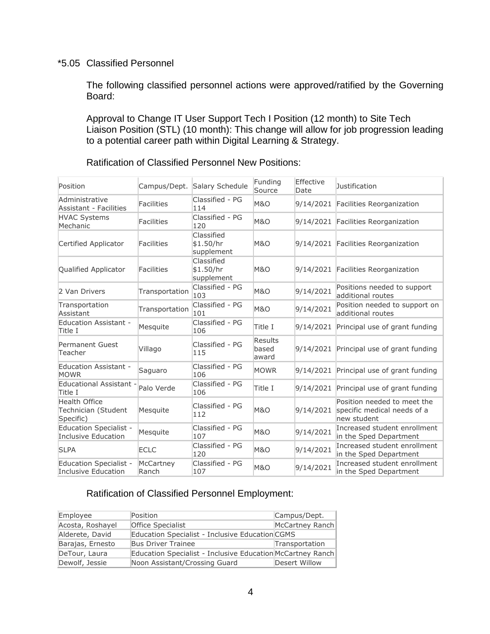## \*5.05 Classified Personnel

The following classified personnel actions were approved/ratified by the Governing Board:

Approval to Change IT User Support Tech I Position (12 month) to Site Tech Liaison Position (STL) (10 month): This change will allow for job progression leading to a potential career path within Digital Learning & Strategy.

| Position                                                    |                    | Campus/Dept. Salary Schedule          | Funding<br>Source         | Effective<br>Date | Justification                                                             |
|-------------------------------------------------------------|--------------------|---------------------------------------|---------------------------|-------------------|---------------------------------------------------------------------------|
| Administrative<br><b>Assistant - Facilities</b>             | <b>Facilities</b>  | Classified - PG<br>114                | <b>M&amp;O</b>            |                   | 9/14/2021 Facilities Reorganization                                       |
| <b>HVAC Systems</b><br>Mechanic                             | <b>Facilities</b>  | Classified - PG<br>120                | <b>M&amp;O</b>            |                   | 9/14/2021 Facilities Reorganization                                       |
| Certified Applicator                                        | <b>Facilities</b>  | Classified<br>\$1.50/hr<br>supplement | <b>M&amp;O</b>            |                   | 9/14/2021 Facilities Reorganization                                       |
| Qualified Applicator                                        | <b>Facilities</b>  | Classified<br>\$1.50/hr<br>supplement | <b>M&amp;O</b>            |                   | 9/14/2021 Facilities Reorganization                                       |
| 2 Van Drivers                                               | Transportation     | Classified - PG<br>103                | <b>M&amp;O</b>            | 9/14/2021         | Positions needed to support<br>additional routes                          |
| Transportation<br>Assistant                                 | Transportation     | Classified - PG<br>101                | <b>M&amp;O</b>            | 9/14/2021         | Position needed to support on<br>additional routes                        |
| <b>Education Assistant -</b><br>Title I                     | Mesquite           | Classified - PG<br>106                | Title I                   | 9/14/2021         | Principal use of grant funding                                            |
| Permanent Guest<br>Teacher                                  | Villago            | Classified - PG<br>115                | Results<br>based<br>award |                   | 9/14/2021 Principal use of grant funding                                  |
| <b>Education Assistant -</b><br><b>MOWR</b>                 | Saguaro            | Classified - PG<br>106                | <b>MOWR</b>               |                   | 9/14/2021 Principal use of grant funding                                  |
| <b>Educational Assistant -</b><br>Title I                   | Palo Verde         | Classified - PG<br>106                | Title I                   |                   | 9/14/2021 Principal use of grant funding                                  |
| <b>Health Office</b><br>Technician (Student<br>Specific)    | Mesquite           | Classified - PG<br>112                | <b>M&amp;O</b>            | 9/14/2021         | Position needed to meet the<br>specific medical needs of a<br>new student |
| <b>Education Specialist -</b><br><b>Inclusive Education</b> | Mesquite           | Classified - PG<br>107                | <b>M&amp;O</b>            | 9/14/2021         | Increased student enrollment<br>in the Sped Department                    |
| <b>SLPA</b>                                                 | <b>ECLC</b>        | Classified - PG<br>120                | <b>M&amp;O</b>            | 9/14/2021         | Increased student enrollment<br>in the Sped Department                    |
| <b>Education Specialist -</b><br>Inclusive Education        | McCartney<br>Ranch | Classified - PG<br>107                | <b>M&amp;O</b>            | 9/14/2021         | Increased student enrollment<br>in the Sped Department                    |

## Ratification of Classified Personnel New Positions:

# Ratification of Classified Personnel Employment:

| Employee         | Position                                                   | Campus/Dept.    |
|------------------|------------------------------------------------------------|-----------------|
| Acosta, Roshayel | <b>Office Specialist</b>                                   | McCartney Ranch |
| Alderete, David  | Education Specialist - Inclusive Education CGMS            |                 |
| Barajas, Ernesto | <b>Bus Driver Trainee</b>                                  | Transportation  |
| DeTour, Laura    | Education Specialist - Inclusive Education McCartney Ranch |                 |
| Dewolf, Jessie   | Noon Assistant/Crossing Guard                              | Desert Willow   |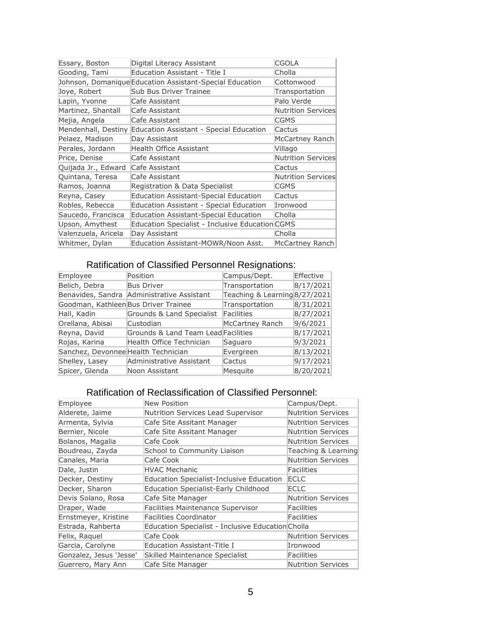| Essary, Boston      | Digital Literacy Assistant                               | CGOLA                     |
|---------------------|----------------------------------------------------------|---------------------------|
| Gooding, Tami       | Education Assistant - Title I                            | Cholla                    |
|                     | Johnson, Domanique Education Assistant-Special Education | Cottonwood                |
| Joye, Robert        | Sub Bus Driver Trainee                                   | Transportation            |
| Lapin, Yvonne       | Cafe Assistant                                           | Palo Verde                |
| Martinez, Shantall  | Cafe Assistant                                           | <b>Nutrition Services</b> |
| Mejia, Angela       | Cafe Assistant                                           | CGMS                      |
| Mendenhall, Destiny | Education Assistant - Special Education                  | Cactus                    |
| Pelaez, Madison     | Day Assistant                                            | McCartney Ranch           |
| Perales, Jordann    | Health Office Assistant                                  | Villago                   |
| Price, Denise       | Cafe Assistant                                           | <b>Nutrition Services</b> |
| Quijada Jr., Edward | Cafe Assistant                                           | Cactus                    |
| Quintana, Teresa    | Cafe Assistant                                           | <b>Nutrition Services</b> |
| Ramos, Joanna       | Registration & Data Specialist                           | CGMS                      |
| Reyna, Casey        | <b>Education Assistant-Special Education</b>             | Cactus                    |
| Robles, Rebecca     | Education Assistant - Special Education                  | Ironwood                  |
| Saucedo, Francisca  | <b>Education Assistant-Special Education</b>             | Cholla                    |
| Upson, Amythest     | Education Specialist - Inclusive Education CGMS          |                           |
| Valenzuela, Aricela | Day Assistant                                            | Cholla                    |
| Whitmer, Dylan      | Education Assistant-MOWR/Noon Asst.                      | McCartney Ranch           |

# Ratification of Classified Personnel Resignations:

| Employee                             | Position                                   | Campus/Dept.                  | Effective |
|--------------------------------------|--------------------------------------------|-------------------------------|-----------|
| Belich, Debra                        | <b>Bus Driver</b>                          | Transportation                | 8/17/2021 |
|                                      | Benavides, Sandra Administrative Assistant | Teaching & Learning 8/27/2021 |           |
| Goodman, Kathleen Bus Driver Trainee |                                            | Transportation                | 8/31/2021 |
| Hall, Kadin                          | Grounds & Land Specialist                  | Facilities                    | 8/27/2021 |
| Orellana, Abisai                     | Custodian                                  | McCartney Ranch               | 9/6/2021  |
| Reyna, David                         | Grounds & Land Team Lead Facilities        |                               | 8/17/2021 |
| Rojas, Karina                        | Health Office Technician                   | Saguaro                       | 9/3/2021  |
| Sanchez, Devonnee Health Technician  |                                            | Evergreen                     | 8/13/2021 |
| Shelley, Lasey                       | Administrative Assistant                   | Cactus                        | 9/17/2021 |
| Spicer, Glenda                       | Noon Assistant                             | Mesquite                      | 8/20/2021 |
|                                      |                                            |                               |           |

# Ratification of Reclassification of Classified Personnel:

| Employee                | New Position                                      | Campus/Dept.              |
|-------------------------|---------------------------------------------------|---------------------------|
| Alderete, Jaime         | Nutrition Services Lead Supervisor                | <b>Nutrition Services</b> |
| Armenta, Sylvia         | Cafe Site Assitant Manager                        | Nutrition Services        |
| Bernier, Nicole         | Cafe Site Assitant Manager                        | <b>Nutrition Services</b> |
| Bolanos, Magalia        | Cafe Cook                                         | <b>Nutrition Services</b> |
| Boudreau, Zayda         | School to Community Liaison                       | Teaching & Learning       |
| Canales, Maria          | Cafe Cook                                         | <b>Nutrition Services</b> |
| Dale, Justin            | <b>HVAC Mechanic</b>                              | Facilities                |
| Decker, Destiny         | Education Specialist-Inclusive Education          | <b>ECLC</b>               |
| Decker, Sharon          | Education Specialist-Early Childhood              | ECLC                      |
| Devis Solano, Rosa      | Cafe Site Manager                                 | <b>Nutrition Services</b> |
| Draper, Wade            | <b>Facilities Maintenance Supervisor</b>          | Facilities                |
| Ernstmeyer, Kristine    | Facilities Coordinator                            | Facilities                |
| Estrada, Rahberta       | Education Specialist - Inclusive Education Cholla |                           |
| Felix, Raquel           | Cafe Cook                                         | <b>Nutrition Services</b> |
| Garcia, Carolyne        | Education Assistant-Title I                       | Ironwood                  |
| Gonzalez, Jesus 'Jesse' | Skilled Maintenance Specialist                    | Facilities                |
| Guerrero, Mary Ann      | Cafe Site Manager                                 | Nutrition Services        |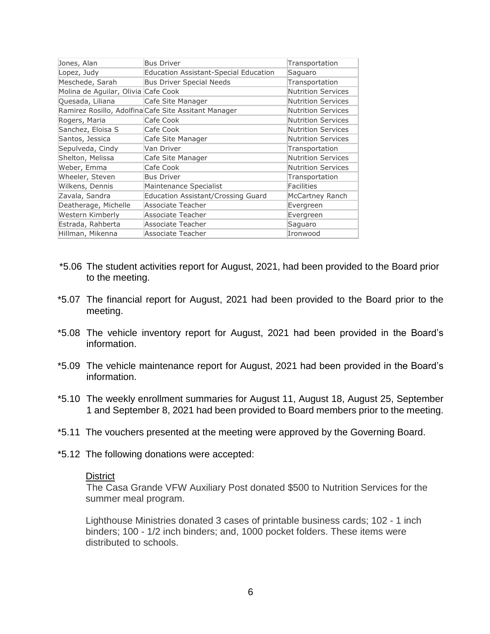| Jones, Alan                         | <b>Bus Driver</b>                                    | Transportation            |
|-------------------------------------|------------------------------------------------------|---------------------------|
| Lopez, Judy                         | <b>Education Assistant-Special Education</b>         | Saguaro                   |
| Meschede, Sarah                     | <b>Bus Driver Special Needs</b>                      | Transportation            |
| Molina de Aguilar, Olivia Cafe Cook |                                                      | <b>Nutrition Services</b> |
| Quesada, Liliana                    | Cafe Site Manager                                    | <b>Nutrition Services</b> |
|                                     | Ramirez Rosillo, Adolfina Cafe Site Assitant Manager | <b>Nutrition Services</b> |
| Rogers, Maria                       | Cafe Cook                                            | <b>Nutrition Services</b> |
| Sanchez, Eloisa S                   | Cafe Cook                                            | <b>Nutrition Services</b> |
| Santos, Jessica                     | Cafe Site Manager                                    | <b>Nutrition Services</b> |
| Sepulveda, Cindy                    | Van Driver                                           | Transportation            |
| Shelton, Melissa                    | Cafe Site Manager                                    | <b>Nutrition Services</b> |
| Weber, Emma                         | Cafe Cook                                            | <b>Nutrition Services</b> |
| Wheeler, Steven                     | <b>Bus Driver</b>                                    | Transportation            |
| Wilkens, Dennis                     | Maintenance Specialist                               | Facilities                |
| Zavala, Sandra                      | Education Assistant/Crossing Guard                   | McCartney Ranch           |
| Deatherage, Michelle                | Associate Teacher                                    | Evergreen                 |
| Western Kimberly                    | Associate Teacher                                    | Evergreen                 |
| Estrada, Rahberta                   | Associate Teacher                                    | Saguaro                   |
| Hillman, Mikenna                    | Associate Teacher                                    | Ironwood                  |

- \*5.06 The student activities report for August, 2021, had been provided to the Board prior to the meeting.
- \*5.07 The financial report for August, 2021 had been provided to the Board prior to the meeting.
- \*5.08 The vehicle inventory report for August, 2021 had been provided in the Board's information.
- \*5.09 The vehicle maintenance report for August, 2021 had been provided in the Board's information.
- \*5.10 The weekly enrollment summaries for August 11, August 18, August 25, September 1 and September 8, 2021 had been provided to Board members prior to the meeting.
- \*5.11 The vouchers presented at the meeting were approved by the Governing Board.
- \*5.12 The following donations were accepted:

#### **District**

The Casa Grande VFW Auxiliary Post donated \$500 to Nutrition Services for the summer meal program.

Lighthouse Ministries donated 3 cases of printable business cards; 102 - 1 inch binders; 100 - 1/2 inch binders; and, 1000 pocket folders. These items were distributed to schools.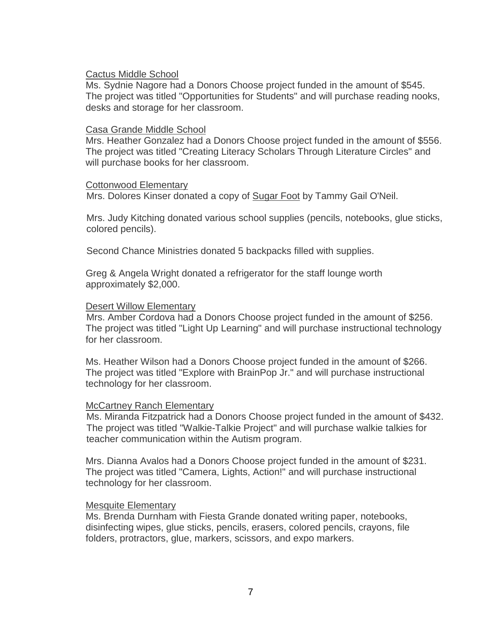## Cactus Middle School

Ms. Sydnie Nagore had a Donors Choose project funded in the amount of \$545. The project was titled "Opportunities for Students" and will purchase reading nooks, desks and storage for her classroom.

## Casa Grande Middle School

Mrs. Heather Gonzalez had a Donors Choose project funded in the amount of \$556. The project was titled "Creating Literacy Scholars Through Literature Circles" and will purchase books for her classroom.

## Cottonwood Elementary

Mrs. Dolores Kinser donated a copy of Sugar Foot by Tammy Gail O'Neil.

Mrs. Judy Kitching donated various school supplies (pencils, notebooks, glue sticks, colored pencils).

Second Chance Ministries donated 5 backpacks filled with supplies.

Greg & Angela Wright donated a refrigerator for the staff lounge worth approximately \$2,000.

## Desert Willow Elementary

Mrs. Amber Cordova had a Donors Choose project funded in the amount of \$256. The project was titled "Light Up Learning" and will purchase instructional technology for her classroom.

Ms. Heather Wilson had a Donors Choose project funded in the amount of \$266. The project was titled "Explore with BrainPop Jr." and will purchase instructional technology for her classroom.

## McCartney Ranch Elementary

Ms. Miranda Fitzpatrick had a Donors Choose project funded in the amount of \$432. The project was titled "Walkie-Talkie Project" and will purchase walkie talkies for teacher communication within the Autism program.

Mrs. Dianna Avalos had a Donors Choose project funded in the amount of \$231. The project was titled "Camera, Lights, Action!" and will purchase instructional technology for her classroom.

## Mesquite Elementary

Ms. Brenda Durnham with Fiesta Grande donated writing paper, notebooks, disinfecting wipes, glue sticks, pencils, erasers, colored pencils, crayons, file folders, protractors, glue, markers, scissors, and expo markers.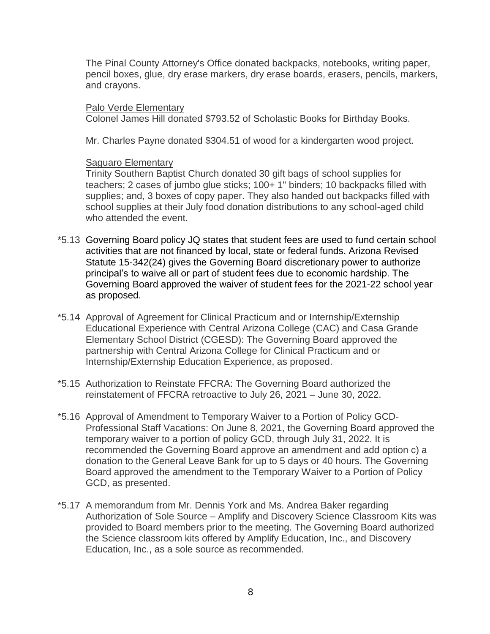The Pinal County Attorney's Office donated backpacks, notebooks, writing paper, pencil boxes, glue, dry erase markers, dry erase boards, erasers, pencils, markers, and crayons.

## Palo Verde Elementary

Colonel James Hill donated \$793.52 of Scholastic Books for Birthday Books.

Mr. Charles Payne donated \$304.51 of wood for a kindergarten wood project.

## Saguaro Elementary

Trinity Southern Baptist Church donated 30 gift bags of school supplies for teachers; 2 cases of jumbo glue sticks; 100+ 1" binders; 10 backpacks filled with supplies; and, 3 boxes of copy paper. They also handed out backpacks filled with school supplies at their July food donation distributions to any school-aged child who attended the event.

- \*5.13 Governing Board policy JQ states that student fees are used to fund certain school activities that are not financed by local, state or federal funds. Arizona Revised Statute 15-342(24) gives the Governing Board discretionary power to authorize principal's to waive all or part of student fees due to economic hardship. The Governing Board approved the waiver of student fees for the 2021-22 school year as proposed.
- \*5.14 Approval of Agreement for Clinical Practicum and or Internship/Externship Educational Experience with Central Arizona College (CAC) and Casa Grande Elementary School District (CGESD): The Governing Board approved the partnership with Central Arizona College for Clinical Practicum and or Internship/Externship Education Experience, as proposed.
- \*5.15 Authorization to Reinstate FFCRA: The Governing Board authorized the reinstatement of FFCRA retroactive to July 26, 2021 – June 30, 2022.
- \*5.16 Approval of Amendment to Temporary Waiver to a Portion of Policy GCD-Professional Staff Vacations: On June 8, 2021, the Governing Board approved the temporary waiver to a portion of policy GCD, through July 31, 2022. It is recommended the Governing Board approve an amendment and add option c) a donation to the General Leave Bank for up to 5 days or 40 hours. The Governing Board approved the amendment to the Temporary Waiver to a Portion of Policy GCD, as presented.
- \*5.17 A memorandum from Mr. Dennis York and Ms. Andrea Baker regarding Authorization of Sole Source – Amplify and Discovery Science Classroom Kits was provided to Board members prior to the meeting. The Governing Board authorized the Science classroom kits offered by Amplify Education, Inc., and Discovery Education, Inc., as a sole source as recommended.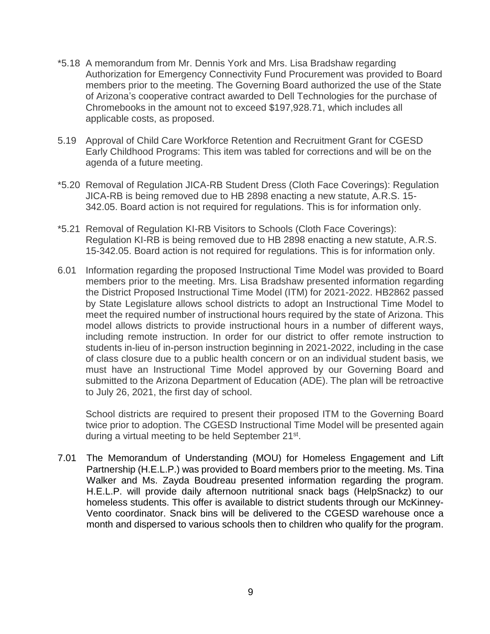- \*5.18 A memorandum from Mr. Dennis York and Mrs. Lisa Bradshaw regarding Authorization for Emergency Connectivity Fund Procurement was provided to Board members prior to the meeting. The Governing Board authorized the use of the State of Arizona's cooperative contract awarded to Dell Technologies for the purchase of Chromebooks in the amount not to exceed \$197,928.71, which includes all applicable costs, as proposed.
- 5.19 Approval of Child Care Workforce Retention and Recruitment Grant for CGESD Early Childhood Programs: This item was tabled for corrections and will be on the agenda of a future meeting.
- \*5.20 Removal of Regulation JICA-RB Student Dress (Cloth Face Coverings): Regulation JICA-RB is being removed due to HB 2898 enacting a new statute, A.R.S. 15- 342.05. Board action is not required for regulations. This is for information only.
- \*5.21 Removal of Regulation KI-RB Visitors to Schools (Cloth Face Coverings): Regulation KI-RB is being removed due to HB 2898 enacting a new statute, A.R.S. 15-342.05. Board action is not required for regulations. This is for information only.
- 6.01 Information regarding the proposed Instructional Time Model was provided to Board members prior to the meeting. Mrs. Lisa Bradshaw presented information regarding the District Proposed Instructional Time Model (ITM) for 2021-2022. HB2862 passed by State Legislature allows school districts to adopt an Instructional Time Model to meet the required number of instructional hours required by the state of Arizona. This model allows districts to provide instructional hours in a number of different ways, including remote instruction. In order for our district to offer remote instruction to students in-lieu of in-person instruction beginning in 2021-2022, including in the case of class closure due to a public health concern or on an individual student basis, we must have an Instructional Time Model approved by our Governing Board and submitted to the Arizona Department of Education (ADE). The plan will be retroactive to July 26, 2021, the first day of school.

School districts are required to present their proposed ITM to the Governing Board twice prior to adoption. The CGESD Instructional Time Model will be presented again during a virtual meeting to be held September 21<sup>st</sup>.

7.01 The Memorandum of Understanding (MOU) for Homeless Engagement and Lift Partnership (H.E.L.P.) was provided to Board members prior to the meeting. Ms. Tina Walker and Ms. Zayda Boudreau presented information regarding the program. H.E.L.P. will provide daily afternoon nutritional snack bags (HelpSnackz) to our homeless students. This offer is available to district students through our McKinney-Vento coordinator. Snack bins will be delivered to the CGESD warehouse once a month and dispersed to various schools then to children who qualify for the program.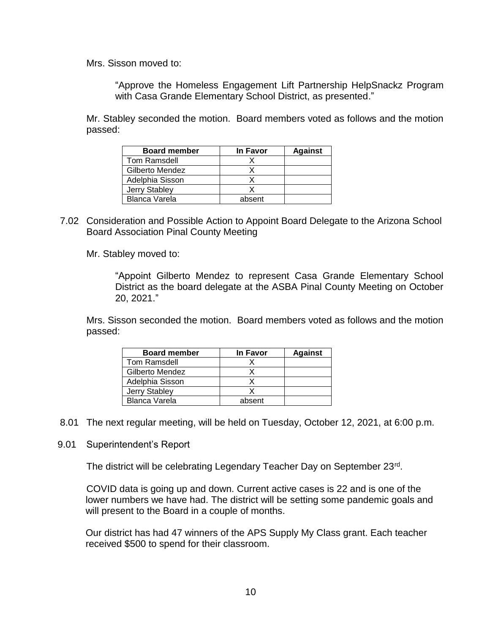Mrs. Sisson moved to:

"Approve the Homeless Engagement Lift Partnership HelpSnackz Program with Casa Grande Elementary School District, as presented."

Mr. Stabley seconded the motion. Board members voted as follows and the motion passed:

| <b>Board member</b> | In Favor | <b>Against</b> |
|---------------------|----------|----------------|
| Tom Ramsdell        |          |                |
| Gilberto Mendez     |          |                |
| Adelphia Sisson     |          |                |
| Jerry Stabley       |          |                |
| Blanca Varela       | absent   |                |

7.02 Consideration and Possible Action to Appoint Board Delegate to the Arizona School Board Association Pinal County Meeting

Mr. Stabley moved to:

"Appoint Gilberto Mendez to represent Casa Grande Elementary School District as the board delegate at the ASBA Pinal County Meeting on October 20, 2021."

Mrs. Sisson seconded the motion. Board members voted as follows and the motion passed:

| <b>Board member</b> | In Favor | <b>Against</b> |
|---------------------|----------|----------------|
| <b>Tom Ramsdell</b> |          |                |
| Gilberto Mendez     |          |                |
| Adelphia Sisson     |          |                |
| Jerry Stabley       |          |                |
| Blanca Varela       | absent   |                |

- 8.01 The next regular meeting, will be held on Tuesday, October 12, 2021, at 6:00 p.m.
- 9.01 Superintendent's Report

The district will be celebrating Legendary Teacher Day on September 23rd.

COVID data is going up and down. Current active cases is 22 and is one of the lower numbers we have had. The district will be setting some pandemic goals and will present to the Board in a couple of months.

Our district has had 47 winners of the APS Supply My Class grant. Each teacher received \$500 to spend for their classroom.